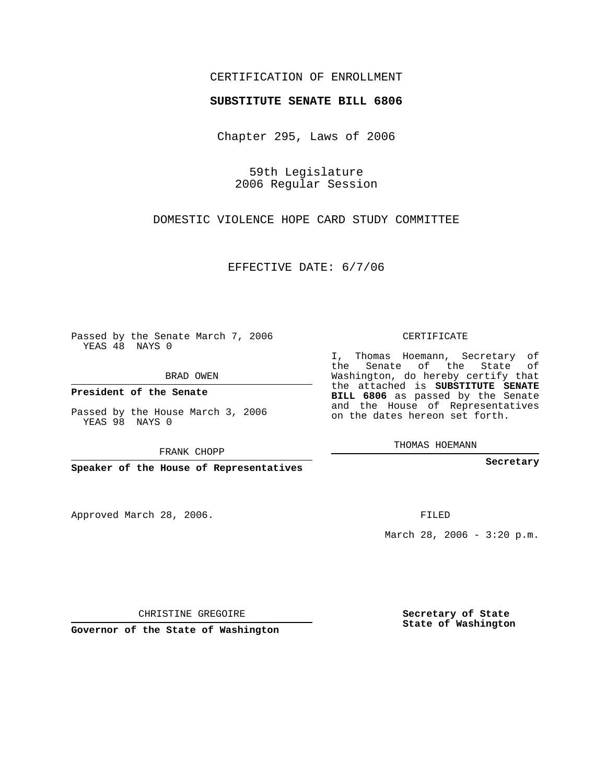## CERTIFICATION OF ENROLLMENT

## **SUBSTITUTE SENATE BILL 6806**

Chapter 295, Laws of 2006

59th Legislature 2006 Regular Session

DOMESTIC VIOLENCE HOPE CARD STUDY COMMITTEE

EFFECTIVE DATE: 6/7/06

Passed by the Senate March 7, 2006 YEAS 48 NAYS 0

BRAD OWEN

**President of the Senate**

Passed by the House March 3, 2006 YEAS 98 NAYS 0

FRANK CHOPP

**Speaker of the House of Representatives**

Approved March 28, 2006.

CERTIFICATE

I, Thomas Hoemann, Secretary of the Senate of the State of Washington, do hereby certify that the attached is **SUBSTITUTE SENATE BILL 6806** as passed by the Senate and the House of Representatives on the dates hereon set forth.

THOMAS HOEMANN

**Secretary**

FILED

March 28, 2006 -  $3:20$  p.m.

CHRISTINE GREGOIRE

**Governor of the State of Washington**

**Secretary of State State of Washington**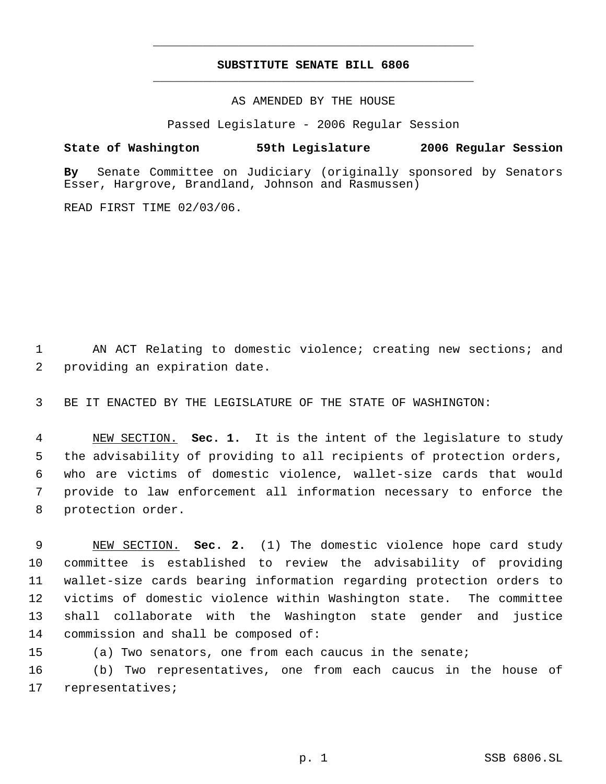## **SUBSTITUTE SENATE BILL 6806** \_\_\_\_\_\_\_\_\_\_\_\_\_\_\_\_\_\_\_\_\_\_\_\_\_\_\_\_\_\_\_\_\_\_\_\_\_\_\_\_\_\_\_\_\_

\_\_\_\_\_\_\_\_\_\_\_\_\_\_\_\_\_\_\_\_\_\_\_\_\_\_\_\_\_\_\_\_\_\_\_\_\_\_\_\_\_\_\_\_\_

AS AMENDED BY THE HOUSE

Passed Legislature - 2006 Regular Session

**State of Washington 59th Legislature 2006 Regular Session**

**By** Senate Committee on Judiciary (originally sponsored by Senators Esser, Hargrove, Brandland, Johnson and Rasmussen)

READ FIRST TIME 02/03/06.

 AN ACT Relating to domestic violence; creating new sections; and providing an expiration date.

BE IT ENACTED BY THE LEGISLATURE OF THE STATE OF WASHINGTON:

 NEW SECTION. **Sec. 1.** It is the intent of the legislature to study the advisability of providing to all recipients of protection orders, who are victims of domestic violence, wallet-size cards that would provide to law enforcement all information necessary to enforce the protection order.

 NEW SECTION. **Sec. 2.** (1) The domestic violence hope card study committee is established to review the advisability of providing wallet-size cards bearing information regarding protection orders to victims of domestic violence within Washington state. The committee shall collaborate with the Washington state gender and justice commission and shall be composed of:

(a) Two senators, one from each caucus in the senate;

 (b) Two representatives, one from each caucus in the house of representatives;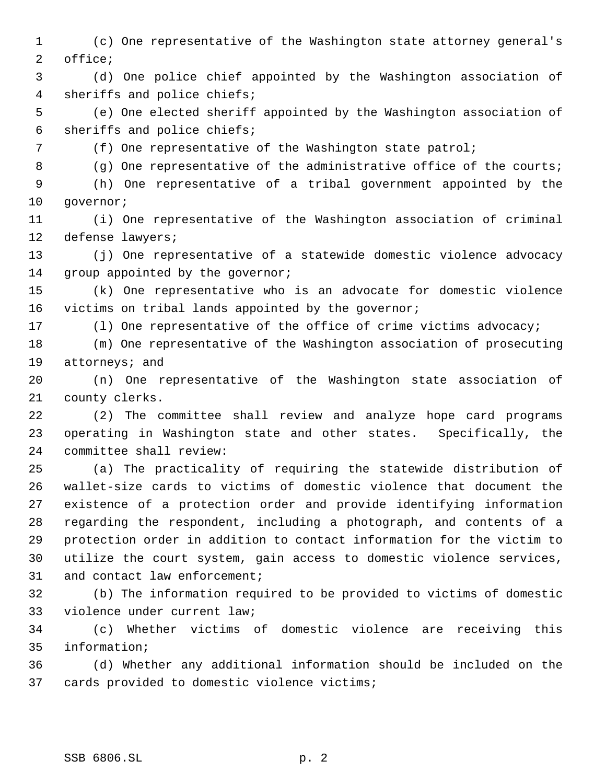(c) One representative of the Washington state attorney general's office;

 (d) One police chief appointed by the Washington association of sheriffs and police chiefs;

 (e) One elected sheriff appointed by the Washington association of sheriffs and police chiefs;

(f) One representative of the Washington state patrol;

8 (g) One representative of the administrative office of the courts;

 (h) One representative of a tribal government appointed by the 10 governor;

 (i) One representative of the Washington association of criminal defense lawyers;

 (j) One representative of a statewide domestic violence advocacy 14 group appointed by the governor;

 (k) One representative who is an advocate for domestic violence victims on tribal lands appointed by the governor;

(l) One representative of the office of crime victims advocacy;

 (m) One representative of the Washington association of prosecuting attorneys; and

 (n) One representative of the Washington state association of county clerks.

 (2) The committee shall review and analyze hope card programs operating in Washington state and other states. Specifically, the committee shall review:

 (a) The practicality of requiring the statewide distribution of wallet-size cards to victims of domestic violence that document the existence of a protection order and provide identifying information regarding the respondent, including a photograph, and contents of a protection order in addition to contact information for the victim to utilize the court system, gain access to domestic violence services, and contact law enforcement;

 (b) The information required to be provided to victims of domestic violence under current law;

 (c) Whether victims of domestic violence are receiving this information;

 (d) Whether any additional information should be included on the cards provided to domestic violence victims;